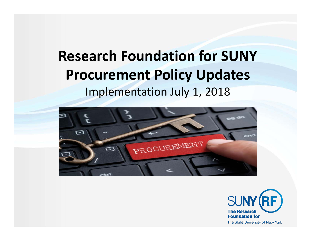### **Research Foundation for SUNY Procurement Policy Updates** Implementation July 1, 2018



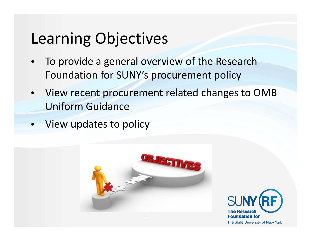### Learning Objectives

- •• To provide a general overview of the Research Foundation for SUNY's procurement policy
- • View recent procurement related changes to OMB Uniform Guidance
- View updates to policy



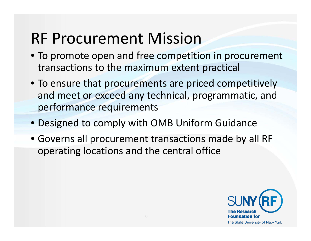### RF Procurement Mission

- To promote open and free competition in procurement transactions to the maximum extent practical
- To ensure that procurements are priced competitively and meet or exceed any technical, programmatic, and performance requirements
- Designed to comply with OMB Uniform Guidance
- Governs all procurement transactions made by all RF operating locations and the central office

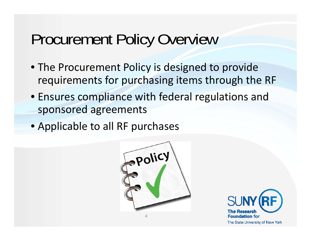### Procurement Policy Overview

- The Procurement Policy is designed to provide requirements for purchasing items through the RF
- Ensures compliance with federal regulations and sponsored agreements
- Applicable to all RF purchases



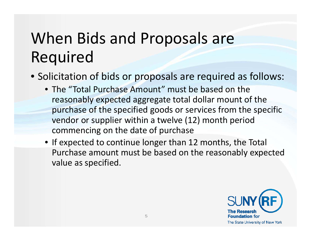# When Bids and Proposals are Required

- Solicitation of bids or proposals are required as follows:
	- The "Total Purchase Amount" must be based on the reasonably expected aggregate total dollar mount of the purchase of the specified goods or services from the specific vendor or supplier within <sup>a</sup> twelve (12) month period commencing on the date of purchase
	- If expected to continue longer than 12 months, the Total Purchase amount must be based on the reasonably expected value as specified.

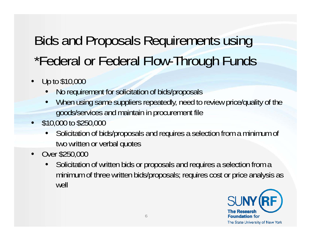### Bids and Proposals Requirements using \*Federal or Federal Flow-Through Funds

- • Up to \$10,000
	- •No requirement for solicitation of bids/proposals
	- • When using same suppliers repeatedly, need to review price/quality of the goods/services and maintain in procurement file
- \$10,000 to \$250,000
	- • Solicitation of bids/proposals and requires a selection from a minimum of two written or verbal quotes
- $\bullet$  Over \$250,000
	- • Solicitation of written bids or proposals and requires a selection from a minimum of three written bids/proposals; requires cost or price analysis as well

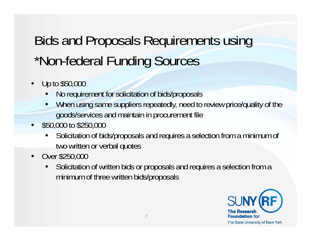## Bids and Proposals Requirements using \*Non-federal Funding Sources

- • Up to \$50,000
	- •No requirement for solicitation of bids/proposals
	- • When using same suppliers repeatedly, need to review price/quality of the goods/services and maintain in procurement file
- •\$50,000 to \$250,000
	- • Solicitation of bids/proposals and requires a selection from a minimum of two written or verbal quotes
- Over \$250,000
	- • Solicitation of written bids or proposals and requires a selection from a minimum of three written bids/proposals

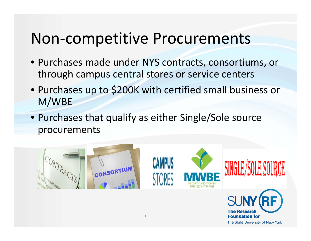### Non‐competitive Procurements

- Purchases made under NYS contracts, consortiums, or through campus central stores or service centers
- Purchases up to \$200K with certified small business or M/WBE
- Purchases that qualify as either Single/Sole source procurements



The State University of New York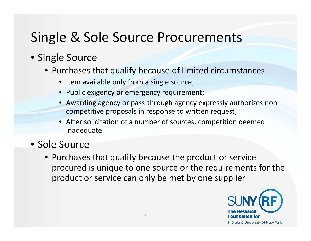### Single & Sole Source Procurements

#### • Single Source

- Purchases that qualify because of limited circumstances
	- Item available only from a single source;
	- Public exigency or emergency requirement;
	- Awarding agency or pass‐through agency expressly authorizes non‐ competitive proposals in response to written request;
	- After solicitation of <sup>a</sup> number of sources, competition deemed inadequate
- Sole Source
	- Purchases that qualify because the product or service procured is unique to one source or the requirements for the product or service can only be met by one supplier

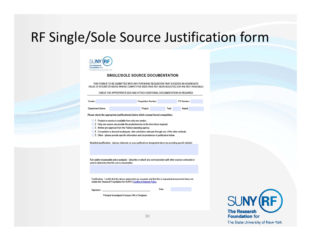### RF Single/Sole Source Justification form



#### SINGLE/SOLE SOURCE DOCUMENTATION

THIS FORM IS TO BE SUBMITTED WITH ANY PURCHASE REQUISITION THAT EXCEEDS AN AGGREGATE VALUE OF \$10,000 OR ABOVE WHERE COMPETITIVE BIDS HAVE NOT BEEN SOLICITED (OR ARE NOT AVAILABLE)

CHECK THE APPROPRIATE BOX AND ATTACH ADDITIONAL DOCUMENTATION AS REQUIRED

| Vendor:          | Requisition Number: |       | PO Number: |  |
|------------------|---------------------|-------|------------|--|
| Department Name: | Project:            | Task: | Award:     |  |

Please check the appropriate justification(s) below which exempt formal competition:

1. Product or service is available from only one vendor.

2. Only one source can provide the product/service in the time frame required.

3. Written pre-approval from the Federal awarding agency.

4. Competition is deemed inadequate, after solicitation attempts through one of the other methods.

5. Other - please provide specific information and circumstances in justification below.

Detailed justification: (please elaborate on your justifications designated above by providing specific details)

Fair and/or reasonable price analysis: (describe or attach any communication with other sources contacted or used to determine that the cost is reasonable)

Certification: I certify that the above statements are accurate and that this is requested procurement does not violate the Research Foundation for SUNY's Conflict of Interest Policy.

Signature:

Date

Principal Investigator/Campus OM or Designee



The State University of New York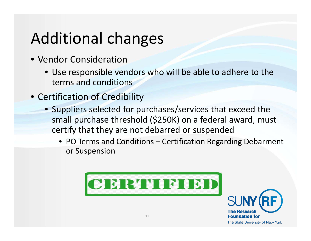# Additional changes

- Vendor Consideration
	- Use responsible vendors who will be able to adhere to the terms and conditions
- Certification of Credibility
	- Suppliers selected for purchases/services that exceed the small purchase threshold (\$250K) on <sup>a</sup> federal award, must certify that they are not debarred or suspended
		- PO Terms and Conditions Certification Regarding Debarment or Suspension



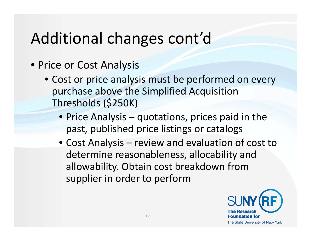## Additional changes cont'd

- Price or Cost Analysis
	- Cost or price analysis must be performed on every purchase above the Simplified Acquisition Thresholds (\$250K)
		- Price Analysis quotations, prices paid in the past, published price listings or catalogs
		- Cost Analysis review and evaluation of cost to determine reasonableness, allocability and allowability. Obtain cost breakdown from supplier in order to perform

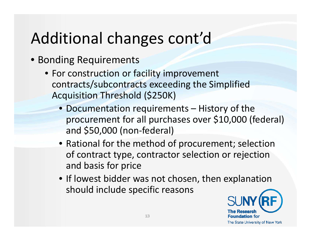# Additional changes cont'd

- Bonding Requirements
	- For construction or facility improvement contracts/subcontracts exceeding the Simplified Acquisition Threshold (\$250K)
		- Documentation requirements History of the procurement for all purchases over \$10,000 (federal) and \$50,000 (non‐federal)
		- Rational for the method of procurement; selection of contract type, contractor selection or rejection and basis for price
		- If lowest bidder was not chosen, then explanation should include specific reasons

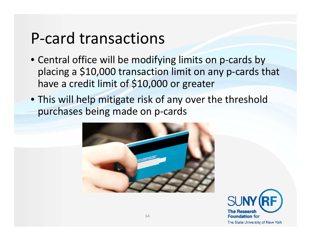### P‐card transactions

- Central office will be modifying limits on p‐cards by placing <sup>a</sup> \$10,000 transaction limit on any p‐cards that have a credit limit of \$10,000 or greater
- This will help mitigate risk of any over the threshold purchases being made on p‐cards



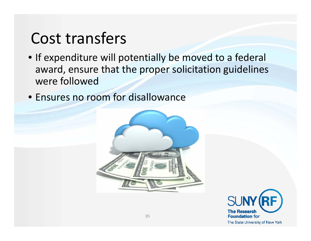### Cost transfers

- If expenditure will potentially be moved to <sup>a</sup> federal award, ensure that the proper solicitation guidelines were followed
- Ensures no room for disallowance



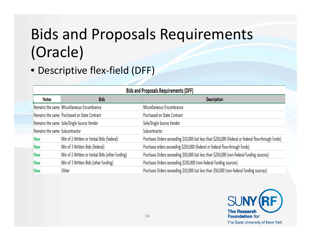# Bids and Proposals Requirements (Oracle)

#### • Descriptive flex‐field (DFF)

| <b>Bids and Proposals Requirements (DFF)</b> |                                                 |                                                                                                    |  |
|----------------------------------------------|-------------------------------------------------|----------------------------------------------------------------------------------------------------|--|
| <b>Notes</b>                                 | <b>Bids</b>                                     | <b>Description</b>                                                                                 |  |
|                                              | Remains the same Miscellaneous Encumbrance      | Miscellaneous Encumbrance                                                                          |  |
|                                              | Remains the same Purchased on State Contract    | <b>Purchased on State Contract</b>                                                                 |  |
|                                              | Remains the same Sole/Single Source Vendor      | Sole/Single Source Vendor                                                                          |  |
| Remains the same Subcontractor               |                                                 | Subcontractor                                                                                      |  |
| <b>New</b>                                   | Min of 2 Written or Verbal Bids (federal)       | Purchase Orders exceeding \$10,000 but less than \$250,000 (federal or federal flow-through funds) |  |
| New                                          | Min of 3 Written Bids (federal)                 | Purchase orders exceeding \$250,000 (federal or federal flow-through funds)                        |  |
| <b>New</b>                                   | Min of 2 Written or Verbal Bids (other funding) | Purchase Orders exceeding \$50,000 but less than \$250,000 (non-federal funding sources)           |  |
| <b>New</b>                                   | Min of 3 Written Bids (other funding)           | Purchase Orders exceeding \$250,000 (non-federal funding sources)                                  |  |
| New                                          | Other                                           | Purchase Orders exceeding \$10,000 but less than \$50,000 (non-federal funding sources)            |  |